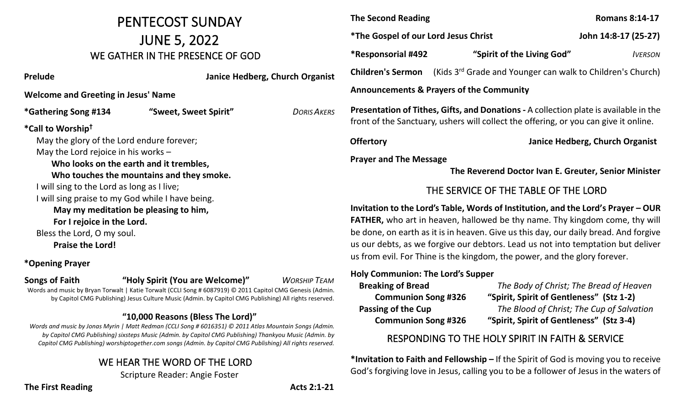# PENTECOST SUNDAY JUNE 5, 2022 WE GATHER IN THE PRESENCE OF GOD

| Prelude                                          |                       |  | Janice Hedberg, Church Organist |
|--------------------------------------------------|-----------------------|--|---------------------------------|
| <b>Welcome and Greeting in Jesus' Name</b>       |                       |  |                                 |
| *Gathering Song #134                             | "Sweet, Sweet Spirit" |  | DORIS AKERS                     |
| *Call to Worship <sup>†</sup>                    |                       |  |                                 |
| May the glory of the Lord endure forever;        |                       |  |                                 |
| May the Lord rejoice in his works $-$            |                       |  |                                 |
| Who looks on the earth and it trembles,          |                       |  |                                 |
| Who touches the mountains and they smoke.        |                       |  |                                 |
| I will sing to the Lord as long as I live;       |                       |  |                                 |
| I will sing praise to my God while I have being. |                       |  |                                 |
| May my meditation be pleasing to him,            |                       |  |                                 |
| For I rejoice in the Lord.                       |                       |  |                                 |
| Bless the Lord, O my soul.                       |                       |  |                                 |
| <b>Praise the Lord!</b>                          |                       |  |                                 |
|                                                  |                       |  |                                 |

**\*Opening Prayer**

**Songs of Faith "Holy Spirit (You are Welcome)"** *WORSHIP TEAM*

Words and music by Bryan Torwalt | Katie Torwalt (CCLI Song # 6087919) © 2011 Capitol CMG Genesis (Admin. by Capitol CMG Publishing) Jesus Culture Music (Admin. by Capitol CMG Publishing) All rights reserved.

#### **"10,000 Reasons (Bless The Lord)"**

*Words and music by Jonas Myrin | Matt Redman (CCLI Song # 6016351) © 2011 Atlas Mountain Songs (Admin. by Capitol CMG Publishing) sixsteps Music (Admin. by Capitol CMG Publishing) Thankyou Music (Admin. by Capitol CMG Publishing) worshiptogether.com songs (Admin. by Capitol CMG Publishing) All rights reserved.*

#### WE HEAR THE WORD OF THE LORD

Scripture Reader: Angie Foster

# **The Second Reading Romans 8:14-17 \*The Gospel of our Lord Jesus Christ John 14:8-17 (25-27) \*Responsorial #492 "Spirit of the Living God"** *IVERSON*  **Children's Sermon** (Kids 3rd Grade and Younger can walk to Children's Church) **Announcements & Prayers of the Community Presentation of Tithes, Gifts, and Donations -** A collection plate is available in the front of the Sanctuary, ushers will collect the offering, or you can give it online.

**Offertory Janice Hedberg, Church Organist**

**Prayer and The Message**

 **The Reverend Doctor Ivan E. Greuter, Senior Minister**

## THE SERVICE OF THE TABLE OF THE LORD

**Invitation to the Lord's Table, Words of Institution, and the Lord's Prayer – OUR FATHER,** who art in heaven, hallowed be thy name. Thy kingdom come, thy will be done, on earth as it is in heaven. Give us this day, our daily bread. And forgive us our debts, as we forgive our debtors. Lead us not into temptation but deliver us from evil. For Thine is the kingdom, the power, and the glory forever.

#### **Holy Communion: The Lord's Supper**

| <b>Breaking of Bread</b>   | The Body of C      |  |
|----------------------------|--------------------|--|
| <b>Communion Song #326</b> | "Spirit, Spirit of |  |
| <b>Passing of the Cup</b>  | The Blood of       |  |
| <b>Communion Song #326</b> | "Spirit, Spirit of |  |

 **Breaking of Bread** *The Body of Christ; The Bread of Heaven* **Communisher State 1-2) Passing of the Cup** *The Blood of Christ; The Cup of Salvation* **Communists**" (Stz 3-4)

### RESPONDING TO THE HOLY SPIRIT IN FAITH & SERVICE

**\*Invitation to Faith and Fellowship –** If the Spirit of God is moving you to receive God's forgiving love in Jesus, calling you to be a follower of Jesus in the waters of

**The First Reading Acts 2:1-21**